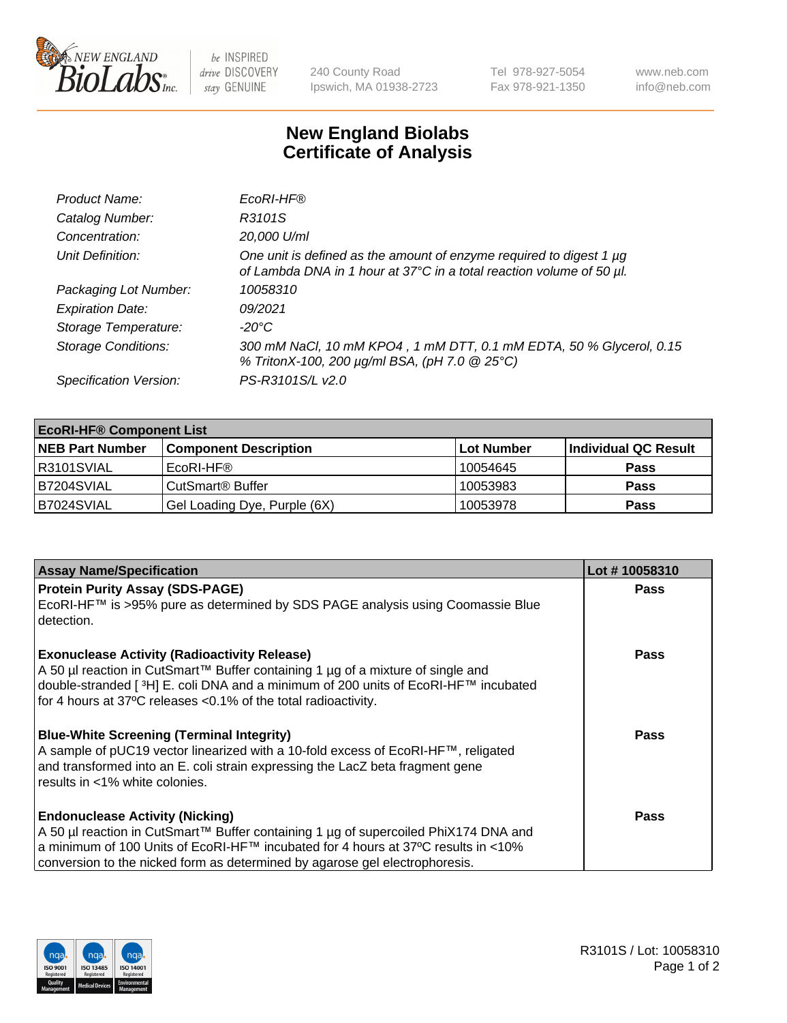

 $be$  INSPIRED drive DISCOVERY stay GENUINE

240 County Road Ipswich, MA 01938-2723 Tel 978-927-5054 Fax 978-921-1350 www.neb.com info@neb.com

## **New England Biolabs Certificate of Analysis**

| Product Name:              | EcoRI-HF®                                                                                                                                   |
|----------------------------|---------------------------------------------------------------------------------------------------------------------------------------------|
| Catalog Number:            | R3101S                                                                                                                                      |
| Concentration:             | 20,000 U/ml                                                                                                                                 |
| Unit Definition:           | One unit is defined as the amount of enzyme required to digest 1 µg<br>of Lambda DNA in 1 hour at 37°C in a total reaction volume of 50 µl. |
| Packaging Lot Number:      | 10058310                                                                                                                                    |
| <b>Expiration Date:</b>    | 09/2021                                                                                                                                     |
| Storage Temperature:       | -20°C                                                                                                                                       |
| <b>Storage Conditions:</b> | 300 mM NaCl, 10 mM KPO4, 1 mM DTT, 0.1 mM EDTA, 50 % Glycerol, 0.15<br>% TritonX-100, 200 µg/ml BSA, (pH 7.0 @ 25°C)                        |
| Specification Version:     | PS-R3101S/L v2.0                                                                                                                            |

| <b>EcoRI-HF® Component List</b> |                              |            |                      |  |  |
|---------------------------------|------------------------------|------------|----------------------|--|--|
| <b>NEB Part Number</b>          | <b>Component Description</b> | Lot Number | Individual QC Result |  |  |
| R3101SVIAL                      | EcoRI-HF®                    | 10054645   | <b>Pass</b>          |  |  |
| B7204SVIAL                      | CutSmart <sup>®</sup> Buffer | 10053983   | <b>Pass</b>          |  |  |
| B7024SVIAL                      | Gel Loading Dye, Purple (6X) | 10053978   | <b>Pass</b>          |  |  |

| <b>Assay Name/Specification</b>                                                                                                                                                                                                                                                                   | Lot #10058310 |
|---------------------------------------------------------------------------------------------------------------------------------------------------------------------------------------------------------------------------------------------------------------------------------------------------|---------------|
| <b>Protein Purity Assay (SDS-PAGE)</b>                                                                                                                                                                                                                                                            | <b>Pass</b>   |
| EcoRI-HF™ is >95% pure as determined by SDS PAGE analysis using Coomassie Blue<br>detection.                                                                                                                                                                                                      |               |
| <b>Exonuclease Activity (Radioactivity Release)</b><br>A 50 µl reaction in CutSmart™ Buffer containing 1 µg of a mixture of single and<br>double-stranded [3H] E. coli DNA and a minimum of 200 units of EcoRI-HF™ incubated<br>for 4 hours at 37°C releases <0.1% of the total radioactivity.    | Pass          |
| <b>Blue-White Screening (Terminal Integrity)</b><br>A sample of pUC19 vector linearized with a 10-fold excess of EcoRI-HF™, religated<br>and transformed into an E. coli strain expressing the LacZ beta fragment gene<br>results in <1% white colonies.                                          | <b>Pass</b>   |
| <b>Endonuclease Activity (Nicking)</b><br>A 50 µl reaction in CutSmart™ Buffer containing 1 µg of supercoiled PhiX174 DNA and<br>a minimum of 100 Units of EcoRI-HF™ incubated for 4 hours at 37°C results in <10%<br>conversion to the nicked form as determined by agarose gel electrophoresis. | <b>Pass</b>   |